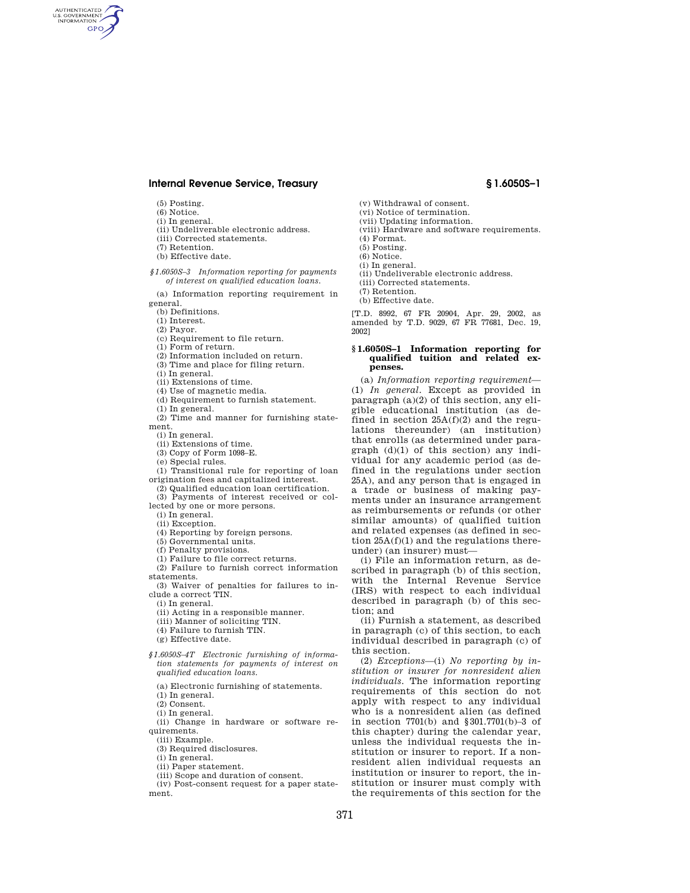- (5) Posting.
- (6) Notice.
- (i) In general.
- (ii) Undeliverable electronic address. (iii) Corrected statements.
- 
- (7) Retention.
- (b) Effective date.
- *§1.6050S–3 Information reporting for payments of interest on qualified education loans.*

(a) Information reporting requirement in general.

- (b) Definitions.
- (1) Interest.

(2) Payor.

- (c) Requirement to file return.
- (1) Form of return.
- (2) Information included on return.
- (3) Time and place for filing return.

(i) In general.

- (ii) Extensions of time.
- (4) Use of magnetic media.
- (d) Requirement to furnish statement.
- (1) In general.

(2) Time and manner for furnishing statement.

(i) In general.

- (ii) Extensions of time.
- (3) Copy of Form 1098–E.
- (e) Special rules.
- (1) Transitional rule for reporting of loan origination fees and capitalized interest.
- (2) Qualified education loan certification.

(3) Payments of interest received or collected by one or more persons.

(i) In general.

(ii) Exception.

- (4) Reporting by foreign persons.
- (5) Governmental units.
- (f) Penalty provisions.
- (1) Failure to file correct returns.
- (2) Failure to furnish correct information

statements. (3) Waiver of penalties for failures to in-

clude a correct TIN.

(i) In general.

- (ii) Acting in a responsible manner.
- (iii) Manner of soliciting TIN.
- (4) Failure to furnish TIN.
- (g) Effective date.
- *§1.6050S–4T Electronic furnishing of information statements for payments of interest on qualified education loans.* 
	- (a) Electronic furnishing of statements.
	- (1) In general.
	- (2) Consent. (i) In general.
	-

(ii) Change in hardware or software requirements.

- (iii) Example.
- (3) Required disclosures.

(i) In general.

- (ii) Paper statement.
- (iii) Scope and duration of consent.

(iv) Post-consent request for a paper statement.

- (v) Withdrawal of consent.
- (vi) Notice of termination. (vii) Updating information.
- (viii) Hardware and software requirements.
- (4) Format.
- (5) Posting.
- (6) Notice.
- (i) In general.
- (ii) Undeliverable electronic address.
- (iii) Corrected statements.

(7) Retention.

(b) Effective date.

[T.D. 8992, 67 FR 20904, Apr. 29, 2002, as amended by T.D. 9029, 67 FR 77681, Dec. 19, 2002]

### **§ 1.6050S–1 Information reporting for qualified tuition and related expenses.**

(a) *Information reporting requirement*— (1) *In general.* Except as provided in paragraph (a)(2) of this section, any eligible educational institution (as defined in section  $25A(f)(2)$  and the regulations thereunder) (an institution) that enrolls (as determined under paragraph (d)(1) of this section) any individual for any academic period (as defined in the regulations under section 25A), and any person that is engaged in a trade or business of making payments under an insurance arrangement as reimbursements or refunds (or other similar amounts) of qualified tuition and related expenses (as defined in section 25A(f)(1) and the regulations thereunder) (an insurer) must—

(i) File an information return, as described in paragraph (b) of this section, with the Internal Revenue Service (IRS) with respect to each individual described in paragraph (b) of this section; and

(ii) Furnish a statement, as described in paragraph (c) of this section, to each individual described in paragraph (c) of this section.

(2) *Exceptions*—(i) *No reporting by institution or insurer for nonresident alien individuals.* The information reporting requirements of this section do not apply with respect to any individual who is a nonresident alien (as defined in section 7701(b) and §301.7701(b)–3 of this chapter) during the calendar year, unless the individual requests the institution or insurer to report. If a nonresident alien individual requests an institution or insurer to report, the institution or insurer must comply with the requirements of this section for the

GPO

AUTHENTICATED<br>U.S. GOVERNMENT<br>INFORMATION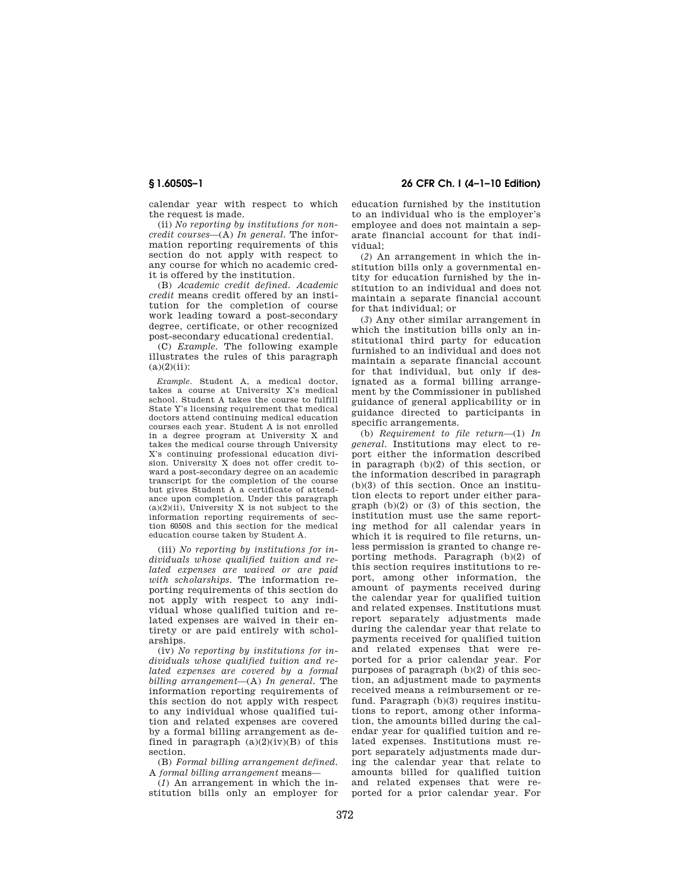**§ 1.6050S–1 26 CFR Ch. I (4–1–10 Edition)** 

calendar year with respect to which the request is made.

(ii) *No reporting by institutions for noncredit courses*—(A) *In general.* The information reporting requirements of this section do not apply with respect to any course for which no academic credit is offered by the institution.

(B) *Academic credit defined. Academic credit* means credit offered by an institution for the completion of course work leading toward a post-secondary degree, certificate, or other recognized post-secondary educational credential.

(C) *Example.* The following example illustrates the rules of this paragraph  $(a)(2)(ii)$ :

*Example.* Student A, a medical doctor, takes a course at University X's medical school. Student A takes the course to fulfill State Y's licensing requirement that medical doctors attend continuing medical education courses each year. Student A is not enrolled in a degree program at University X and takes the medical course through University X's continuing professional education division. University X does not offer credit toward a post-secondary degree on an academic transcript for the completion of the course but gives Student A a certificate of attendance upon completion. Under this paragraph  $(a)(2)(ii)$ , University X is not subject to the information reporting requirements of section 6050S and this section for the medical education course taken by Student A.

(iii) *No reporting by institutions for individuals whose qualified tuition and related expenses are waived or are paid with scholarships.* The information reporting requirements of this section do not apply with respect to any individual whose qualified tuition and related expenses are waived in their entirety or are paid entirely with scholarships.

(iv) *No reporting by institutions for individuals whose qualified tuition and related expenses are covered by a formal billing arrangement*—(A) *In general.* The information reporting requirements of this section do not apply with respect to any individual whose qualified tuition and related expenses are covered by a formal billing arrangement as defined in paragraph  $(a)(2)(iv)(B)$  of this section.

(B) *Formal billing arrangement defined.*  A *formal billing arrangement* means—

(*1*) An arrangement in which the institution bills only an employer for education furnished by the institution to an individual who is the employer's employee and does not maintain a separate financial account for that individual;

(*2*) An arrangement in which the institution bills only a governmental entity for education furnished by the institution to an individual and does not maintain a separate financial account for that individual; or

(*3*) Any other similar arrangement in which the institution bills only an institutional third party for education furnished to an individual and does not maintain a separate financial account for that individual, but only if designated as a formal billing arrangement by the Commissioner in published guidance of general applicability or in guidance directed to participants in specific arrangements.

(b) *Requirement to file return*—(1) *In general.* Institutions may elect to report either the information described in paragraph (b)(2) of this section, or the information described in paragraph (b)(3) of this section. Once an institution elects to report under either paragraph (b)(2) or (3) of this section, the institution must use the same reporting method for all calendar years in which it is required to file returns, unless permission is granted to change reporting methods. Paragraph (b)(2) of this section requires institutions to report, among other information, the amount of payments received during the calendar year for qualified tuition and related expenses. Institutions must report separately adjustments made during the calendar year that relate to payments received for qualified tuition and related expenses that were reported for a prior calendar year. For purposes of paragraph (b)(2) of this section, an adjustment made to payments received means a reimbursement or refund. Paragraph (b)(3) requires institutions to report, among other information, the amounts billed during the calendar year for qualified tuition and related expenses. Institutions must report separately adjustments made during the calendar year that relate to amounts billed for qualified tuition and related expenses that were reported for a prior calendar year. For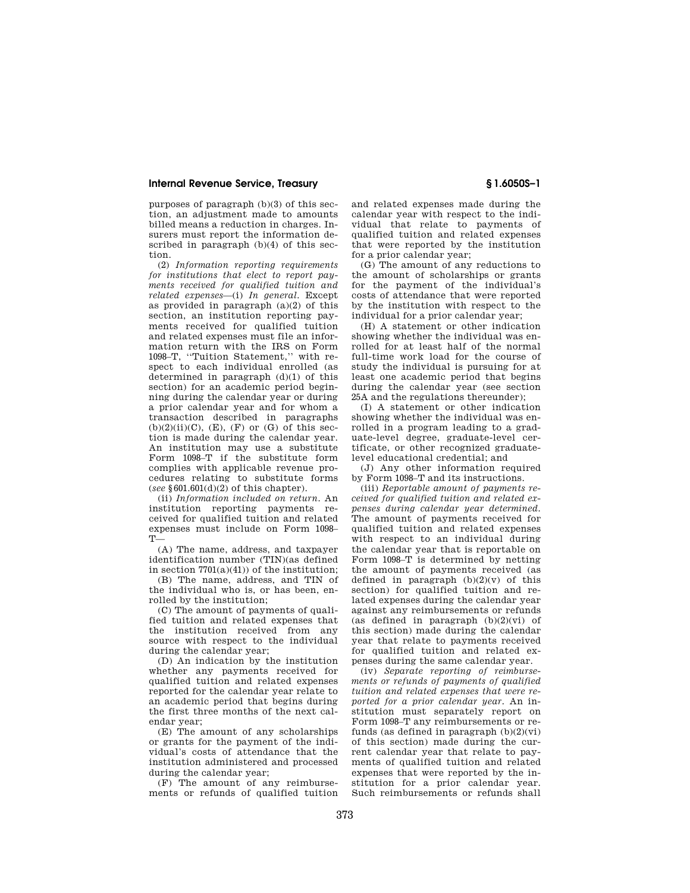purposes of paragraph (b)(3) of this section, an adjustment made to amounts billed means a reduction in charges. Insurers must report the information described in paragraph (b)(4) of this section.

(2) *Information reporting requirements for institutions that elect to report payments received for qualified tuition and related expenses*—(i) *In general.* Except as provided in paragraph (a)(2) of this section, an institution reporting payments received for qualified tuition and related expenses must file an information return with the IRS on Form 1098–T, ''Tuition Statement,'' with respect to each individual enrolled (as determined in paragraph (d)(1) of this section) for an academic period beginning during the calendar year or during a prior calendar year and for whom a transaction described in paragraphs  $(b)(2)(ii)(C)$ ,  $(E)$ ,  $(F)$  or  $(G)$  of this section is made during the calendar year. An institution may use a substitute Form 1098–T if the substitute form complies with applicable revenue procedures relating to substitute forms (*see* §601.601(d)(2) of this chapter).

(ii) *Information included on return.* An institution reporting payments received for qualified tuition and related expenses must include on Form 1098– T—

(A) The name, address, and taxpayer identification number (TIN)(as defined in section 7701(a)(41)) of the institution;

(B) The name, address, and TIN of the individual who is, or has been, enrolled by the institution;

(C) The amount of payments of qualified tuition and related expenses that the institution received from any source with respect to the individual during the calendar year;

(D) An indication by the institution whether any payments received for qualified tuition and related expenses reported for the calendar year relate to an academic period that begins during the first three months of the next calendar year;

(E) The amount of any scholarships or grants for the payment of the individual's costs of attendance that the institution administered and processed during the calendar year;

(F) The amount of any reimbursements or refunds of qualified tuition and related expenses made during the calendar year with respect to the individual that relate to payments of qualified tuition and related expenses that were reported by the institution for a prior calendar year;

(G) The amount of any reductions to the amount of scholarships or grants for the payment of the individual's costs of attendance that were reported by the institution with respect to the individual for a prior calendar year;

(H) A statement or other indication showing whether the individual was enrolled for at least half of the normal full-time work load for the course of study the individual is pursuing for at least one academic period that begins during the calendar year (see section 25A and the regulations thereunder);

(I) A statement or other indication showing whether the individual was enrolled in a program leading to a graduate-level degree, graduate-level certificate, or other recognized graduatelevel educational credential; and

(J) Any other information required by Form 1098–T and its instructions.

(iii) *Reportable amount of payments received for qualified tuition and related expenses during calendar year determined.*  The amount of payments received for qualified tuition and related expenses with respect to an individual during the calendar year that is reportable on Form 1098–T is determined by netting the amount of payments received (as defined in paragraph  $(b)(2)(v)$  of this section) for qualified tuition and related expenses during the calendar year against any reimbursements or refunds (as defined in paragraph  $(b)(2)(vi)$  of this section) made during the calendar year that relate to payments received for qualified tuition and related expenses during the same calendar year.

(iv) *Separate reporting of reimbursements or refunds of payments of qualified tuition and related expenses that were reported for a prior calendar year.* An institution must separately report on Form 1098–T any reimbursements or refunds (as defined in paragraph  $(b)(2)(vi)$ ) of this section) made during the current calendar year that relate to payments of qualified tuition and related expenses that were reported by the institution for a prior calendar year. Such reimbursements or refunds shall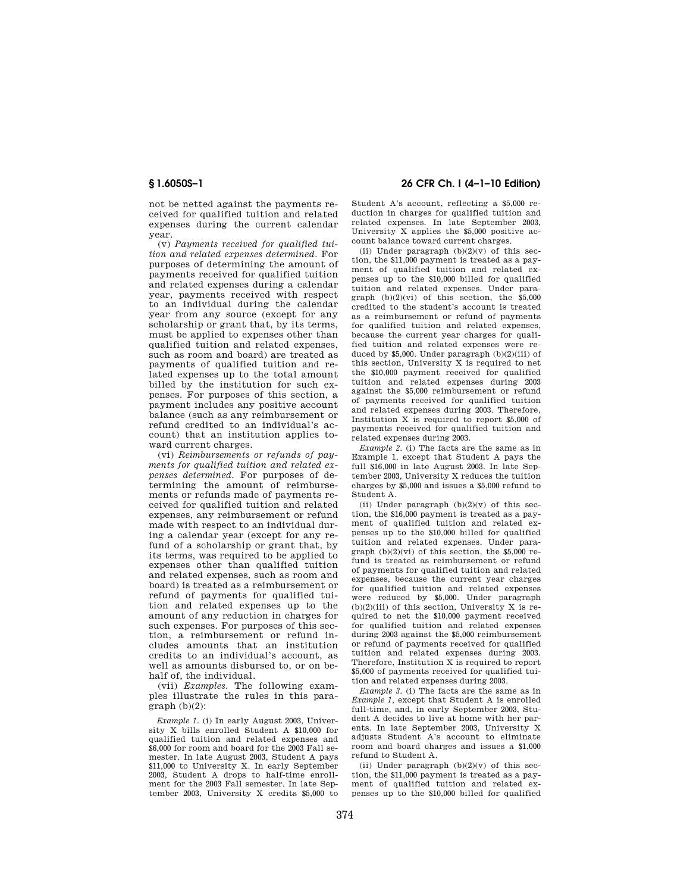not be netted against the payments received for qualified tuition and related expenses during the current calendar year.

(v) *Payments received for qualified tuition and related expenses determined.* For purposes of determining the amount of payments received for qualified tuition and related expenses during a calendar year, payments received with respect to an individual during the calendar year from any source (except for any scholarship or grant that, by its terms, must be applied to expenses other than qualified tuition and related expenses, such as room and board) are treated as payments of qualified tuition and related expenses up to the total amount billed by the institution for such expenses. For purposes of this section, a payment includes any positive account balance (such as any reimbursement or refund credited to an individual's account) that an institution applies toward current charges.

(vi) *Reimbursements or refunds of payments for qualified tuition and related expenses determined.* For purposes of determining the amount of reimbursements or refunds made of payments received for qualified tuition and related expenses, any reimbursement or refund made with respect to an individual during a calendar year (except for any refund of a scholarship or grant that, by its terms, was required to be applied to expenses other than qualified tuition and related expenses, such as room and board) is treated as a reimbursement or refund of payments for qualified tuition and related expenses up to the amount of any reduction in charges for such expenses. For purposes of this section, a reimbursement or refund includes amounts that an institution credits to an individual's account, as well as amounts disbursed to, or on behalf of, the individual.

(vii) *Examples.* The following examples illustrate the rules in this para $graph (h)(2)$ :

*Example 1.* (i) In early August 2003, University X bills enrolled Student A \$10,000 for qualified tuition and related expenses and \$6,000 for room and board for the 2003 Fall semester. In late August 2003, Student A pays \$11,000 to University X. In early September 2003, Student A drops to half-time enrollment for the 2003 Fall semester. In late September 2003, University X credits \$5,000 to

## **§ 1.6050S–1 26 CFR Ch. I (4–1–10 Edition)**

Student A's account, reflecting a \$5,000 reduction in charges for qualified tuition and related expenses. In late September 2003, University X applies the \$5,000 positive account balance toward current charges.

(ii) Under paragraph  $(b)(2)(v)$  of this section, the \$11,000 payment is treated as a payment of qualified tuition and related expenses up to the \$10,000 billed for qualified tuition and related expenses. Under paragraph  $(b)(2)(vi)$  of this section, the \$5,000 credited to the student's account is treated as a reimbursement or refund of payments for qualified tuition and related expenses, because the current year charges for qualified tuition and related expenses were reduced by \$5,000. Under paragraph (b)(2)(iii) of this section, University X is required to net the \$10,000 payment received for qualified tuition and related expenses during 2003 against the \$5,000 reimbursement or refund of payments received for qualified tuition and related expenses during 2003. Therefore, Institution X is required to report \$5,000 of payments received for qualified tuition and related expenses during 2003.

*Example 2.* (i) The facts are the same as in Example 1, except that Student A pays the full \$16,000 in late August 2003. In late September 2003, University X reduces the tuition charges by \$5,000 and issues a \$5,000 refund to Student A.

(ii) Under paragraph  $(b)(2)(v)$  of this section, the \$16,000 payment is treated as a payment of qualified tuition and related expenses up to the \$10,000 billed for qualified tuition and related expenses. Under paragraph  $(b)(2)(vi)$  of this section, the \$5,000 refund is treated as reimbursement or refund of payments for qualified tuition and related expenses, because the current year charges for qualified tuition and related expenses were reduced by \$5,000. Under paragraph  $(b)(2)(iii)$  of this section, University X is required to net the \$10,000 payment received for qualified tuition and related expenses during 2003 against the \$5,000 reimbursement or refund of payments received for qualified tuition and related expenses during 2003. Therefore, Institution X is required to report \$5,000 of payments received for qualified tuition and related expenses during 2003.

*Example 3.* (i) The facts are the same as in *Example 1,* except that Student A is enrolled full-time, and, in early September 2003, Student A decides to live at home with her parents. In late September 2003, University X adjusts Student A's account to eliminate room and board charges and issues a \$1,000 refund to Student A.

(ii) Under paragraph  $(b)(2)(v)$  of this section, the \$11,000 payment is treated as a payment of qualified tuition and related expenses up to the \$10,000 billed for qualified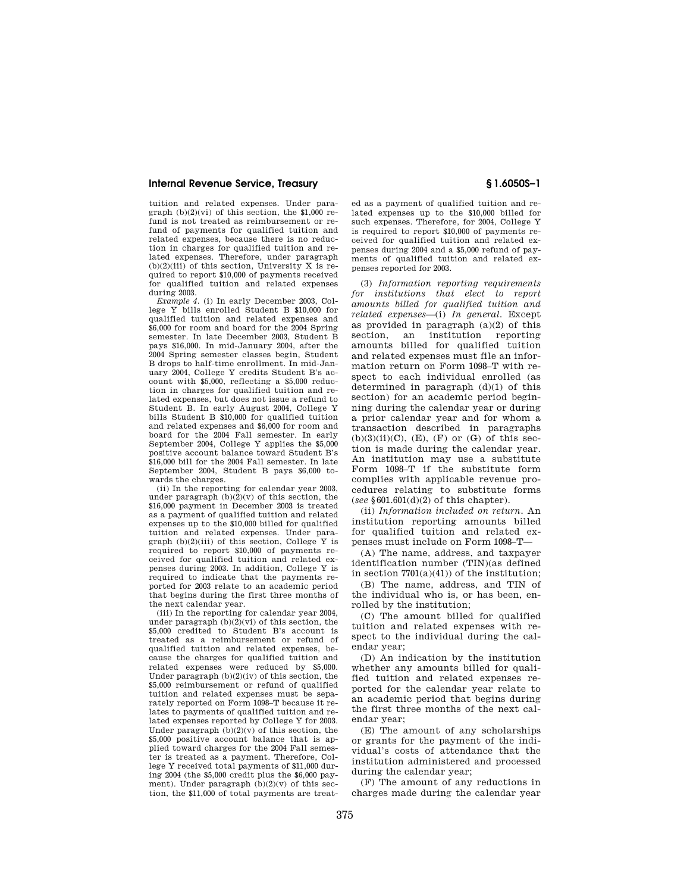tuition and related expenses. Under paragraph  $(b)(2)(vi)$  of this section, the \$1,000 refund is not treated as reimbursement or refund of payments for qualified tuition and related expenses, because there is no reduction in charges for qualified tuition and related expenses. Therefore, under paragraph  $(b)(2)(iii)$  of this section. University X is required to report \$10,000 of payments received for qualified tuition and related expenses during 2003.

*Example 4.* (i) In early December 2003, College Y bills enrolled Student B \$10,000 for qualified tuition and related expenses and \$6,000 for room and board for the 2004 Spring semester. In late December 2003, Student B pays \$16,000. In mid-January 2004, after the 2004 Spring semester classes begin, Student B drops to half-time enrollment. In mid-January 2004, College Y credits Student B's account with \$5,000, reflecting a \$5,000 reduction in charges for qualified tuition and related expenses, but does not issue a refund to Student B. In early August 2004, College Y bills Student B \$10,000 for qualified tuition and related expenses and \$6,000 for room and board for the 2004 Fall semester. In early September 2004, College Y applies the \$5,000 positive account balance toward Student B's \$16,000 bill for the 2004 Fall semester. In late September 2004, Student B pays \$6,000 towards the charges.

(ii) In the reporting for calendar year 2003, under paragraph  $(b)(2)(v)$  of this section, the \$16,000 payment in December 2003 is treated as a payment of qualified tuition and related expenses up to the \$10,000 billed for qualified tuition and related expenses. Under paragraph  $(b)(2)(iii)$  of this section, College Y is required to report \$10,000 of payments received for qualified tuition and related expenses during 2003. In addition, College Y is required to indicate that the payments reported for 2003 relate to an academic period that begins during the first three months of the next calendar year.

(iii) In the reporting for calendar year 2004, under paragraph (b)(2)(vi) of this section, the \$5,000 credited to Student B's account is treated as a reimbursement or refund of qualified tuition and related expenses, because the charges for qualified tuition and related expenses were reduced by \$5,000. Under paragraph (b)(2)(iv) of this section, the \$5,000 reimbursement or refund of qualified tuition and related expenses must be separately reported on Form 1098–T because it relates to payments of qualified tuition and related expenses reported by College Y for 2003. Under paragraph  $(b)(2)(v)$  of this section, the \$5,000 positive account balance that is applied toward charges for the 2004 Fall semester is treated as a payment. Therefore, College Y received total payments of \$11,000 during 2004 (the \$5,000 credit plus the \$6,000 payment). Under paragraph  $(b)(2)(v)$  of this section, the \$11,000 of total payments are treat-

ed as a payment of qualified tuition and related expenses up to the \$10,000 billed for such expenses. Therefore, for 2004, College Y is required to report \$10,000 of payments received for qualified tuition and related expenses during 2004 and a \$5,000 refund of payments of qualified tuition and related expenses reported for 2003.

(3) *Information reporting requirements for institutions that elect to report amounts billed for qualified tuition and related expenses*—(i) *In general.* Except as provided in paragraph (a)(2) of this section, an institution reporting amounts billed for qualified tuition and related expenses must file an information return on Form 1098–T with respect to each individual enrolled (as determined in paragraph  $(d)(1)$  of this section) for an academic period beginning during the calendar year or during a prior calendar year and for whom a transaction described in paragraphs  $(b)(3)(ii)(C)$ ,  $(E)$ ,  $(F)$  or  $(G)$  of this section is made during the calendar year. An institution may use a substitute Form 1098–T if the substitute form complies with applicable revenue procedures relating to substitute forms (*see* §601.601(d)(2) of this chapter).

(ii) *Information included on return.* An institution reporting amounts billed for qualified tuition and related expenses must include on Form 1098–T—

(A) The name, address, and taxpayer identification number (TIN)(as defined in section  $7701(a)(41)$  of the institution;

(B) The name, address, and TIN of the individual who is, or has been, enrolled by the institution;

(C) The amount billed for qualified tuition and related expenses with respect to the individual during the calendar year;

(D) An indication by the institution whether any amounts billed for qualified tuition and related expenses reported for the calendar year relate to an academic period that begins during the first three months of the next calendar year;

(E) The amount of any scholarships or grants for the payment of the individual's costs of attendance that the institution administered and processed during the calendar year;

(F) The amount of any reductions in charges made during the calendar year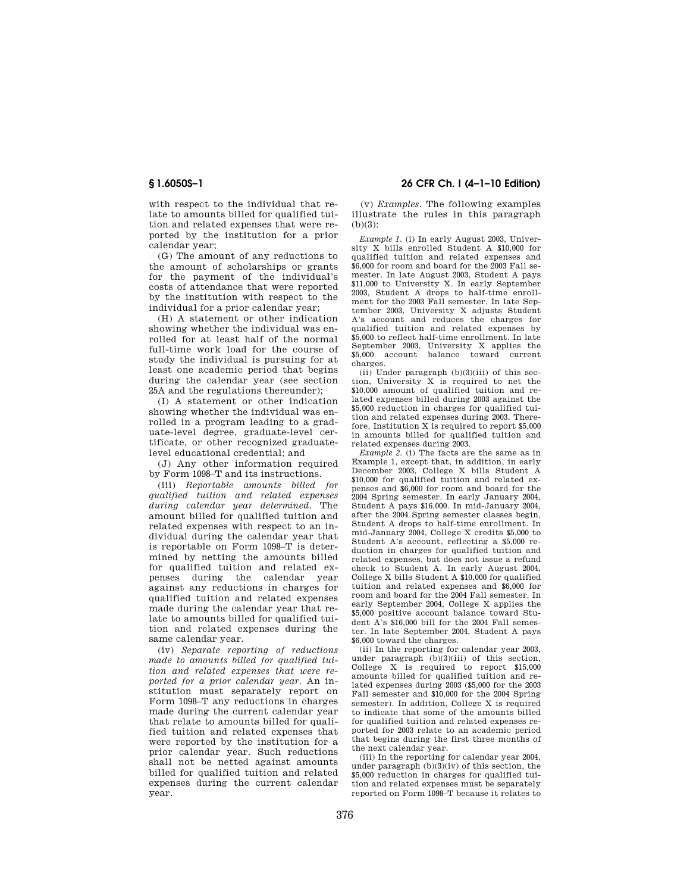with respect to the individual that relate to amounts billed for qualified tuition and related expenses that were reported by the institution for a prior calendar year;

(G) The amount of any reductions to the amount of scholarships or grants for the payment of the individual's costs of attendance that were reported by the institution with respect to the individual for a prior calendar year;

(H) A statement or other indication showing whether the individual was enrolled for at least half of the normal full-time work load for the course of study the individual is pursuing for at least one academic period that begins during the calendar year (see section 25A and the regulations thereunder);

(I) A statement or other indication showing whether the individual was enrolled in a program leading to a graduate-level degree, graduate-level certificate, or other recognized graduatelevel educational credential; and

(J) Any other information required by Form 1098–T and its instructions.

(iii) *Reportable amounts billed for qualified tuition and related expenses during calendar year determined.* The amount billed for qualified tuition and related expenses with respect to an individual during the calendar year that is reportable on Form 1098–T is determined by netting the amounts billed for qualified tuition and related expenses during the calendar year against any reductions in charges for qualified tuition and related expenses made during the calendar year that relate to amounts billed for qualified tuition and related expenses during the same calendar year.

(iv) *Separate reporting of reductions made to amounts billed for qualified tuition and related expenses that were reported for a prior calendar year.* An institution must separately report on Form 1098–T any reductions in charges made during the current calendar year that relate to amounts billed for qualified tuition and related expenses that were reported by the institution for a prior calendar year. Such reductions shall not be netted against amounts billed for qualified tuition and related expenses during the current calendar year.

**§ 1.6050S–1 26 CFR Ch. I (4–1–10 Edition)** 

(v) *Examples.* The following examples illustrate the rules in this paragraph (b)(3):

*Example 1.* (i) In early August 2003, University X bills enrolled Student A \$10,000 for qualified tuition and related expenses and \$6,000 for room and board for the 2003 Fall semester. In late August 2003, Student A pays \$11,000 to University X. In early September 2003, Student A drops to half-time enrollment for the 2003 Fall semester. In late September 2003, University X adjusts Student A's account and reduces the charges for qualified tuition and related expenses by \$5,000 to reflect half-time enrollment. In late September 2003, University X applies the \$5,000 account balance toward current charges.

 $(ii)$  Under paragraph  $(b)(3)(iii)$  of this section, University X is required to net the \$10,000 amount of qualified tuition and related expenses billed during 2003 against the \$5,000 reduction in charges for qualified tuition and related expenses during 2003. Therefore, Institution X is required to report \$5,000 in amounts billed for qualified tuition and related expenses during 2003.

*Example 2.* (i) The facts are the same as in Example 1, except that, in addition, in early December 2003, College X bills Student A \$10,000 for qualified tuition and related expenses and \$6,000 for room and board for the 2004 Spring semester. In early January 2004, Student A pays \$16,000. In mid-January 2004, after the 2004 Spring semester classes begin, Student A drops to half-time enrollment. In mid-January 2004, College X credits \$5,000 to Student A's account, reflecting a \$5,000 reduction in charges for qualified tuition and related expenses, but does not issue a refund check to Student A. In early August 2004, College X bills Student A \$10,000 for qualified tuition and related expenses and \$6,000 for room and board for the 2004 Fall semester. In early September 2004, College X applies the \$5,000 positive account balance toward Student A's \$16,000 bill for the 2004 Fall semester. In late September 2004, Student A pays \$6,000 toward the charges.

(ii) In the reporting for calendar year 2003, under paragraph (b)(3)(iii) of this section, College X is required to report \$15,000 amounts billed for qualified tuition and related expenses during 2003 (\$5,000 for the 2003 Fall semester and \$10,000 for the 2004 Spring semester). In addition, College X is required to indicate that some of the amounts billed for qualified tuition and related expenses reported for 2003 relate to an academic period that begins during the first three months of the next calendar year.

(iii) In the reporting for calendar year 2004, under paragraph (b)(3)(iv) of this section, the \$5,000 reduction in charges for qualified tuition and related expenses must be separately reported on Form 1098–T because it relates to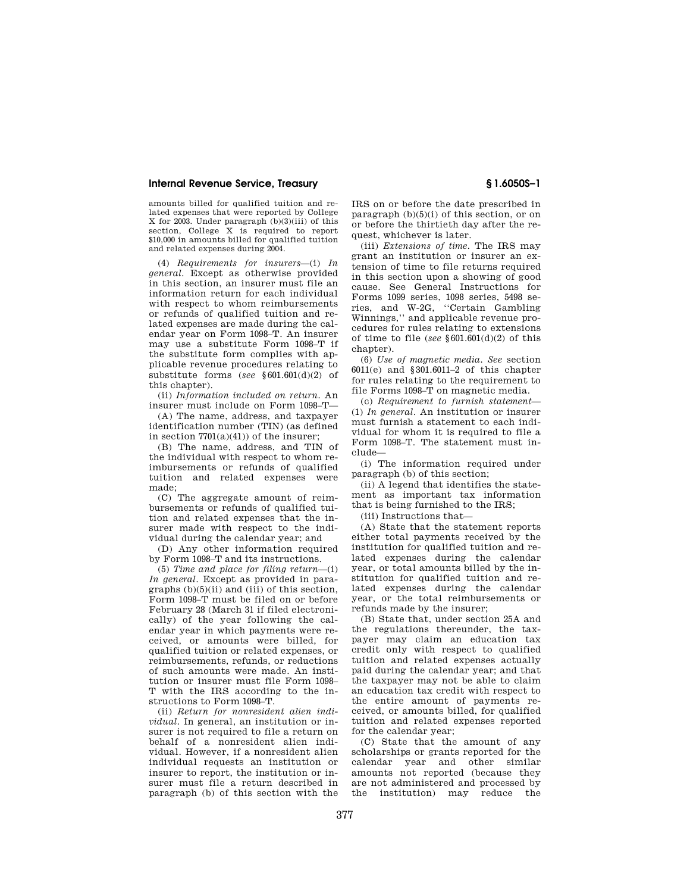amounts billed for qualified tuition and related expenses that were reported by College X for 2003. Under paragraph (b)(3)(iii) of this section, College X is required to report \$10,000 in amounts billed for qualified tuition and related expenses during 2004.

(4) *Requirements for insurers*—(i) *In general.* Except as otherwise provided in this section, an insurer must file an information return for each individual with respect to whom reimbursements or refunds of qualified tuition and related expenses are made during the calendar year on Form 1098–T. An insurer may use a substitute Form 1098–T if the substitute form complies with applicable revenue procedures relating to substitute forms (*see* §601.601(d)(2) of this chapter).

(ii) *Information included on return.* An insurer must include on Form 1098–T—

(A) The name, address, and taxpayer identification number (TIN) (as defined in section  $7701(a)(41)$  of the insurer;

(B) The name, address, and TIN of the individual with respect to whom reimbursements or refunds of qualified tuition and related expenses were made;

(C) The aggregate amount of reimbursements or refunds of qualified tuition and related expenses that the insurer made with respect to the individual during the calendar year; and

(D) Any other information required by Form 1098–T and its instructions.

(5) *Time and place for filing return*—(i) *In general.* Except as provided in paragraphs  $(b)(5)(ii)$  and  $(iii)$  of this section, Form 1098–T must be filed on or before February 28 (March 31 if filed electronically) of the year following the calendar year in which payments were received, or amounts were billed, for qualified tuition or related expenses, or reimbursements, refunds, or reductions of such amounts were made. An institution or insurer must file Form 1098– T with the IRS according to the instructions to Form 1098–T.

(ii) *Return for nonresident alien individual.* In general, an institution or insurer is not required to file a return on behalf of a nonresident alien individual. However, if a nonresident alien individual requests an institution or insurer to report, the institution or insurer must file a return described in paragraph (b) of this section with the IRS on or before the date prescribed in paragraph  $(b)(5)(i)$  of this section, or on or before the thirtieth day after the request, whichever is later.

(iii) *Extensions of time.* The IRS may grant an institution or insurer an extension of time to file returns required in this section upon a showing of good cause. See General Instructions for Forms 1099 series, 1098 series, 5498 series, and W-2G, ''Certain Gambling Winnings,'' and applicable revenue procedures for rules relating to extensions of time to file (*see* §601.601(d)(2) of this chapter).

(6) *Use of magnetic media. See* section 6011(e) and §301.6011–2 of this chapter for rules relating to the requirement to file Forms 1098–T on magnetic media.

(c) *Requirement to furnish statement*— (1) *In general.* An institution or insurer must furnish a statement to each individual for whom it is required to file a Form 1098–T. The statement must include—

(i) The information required under paragraph (b) of this section;

(ii) A legend that identifies the statement as important tax information that is being furnished to the IRS;

(iii) Instructions that—

(A) State that the statement reports either total payments received by the institution for qualified tuition and related expenses during the calendar year, or total amounts billed by the institution for qualified tuition and related expenses during the calendar year, or the total reimbursements or refunds made by the insurer;

(B) State that, under section 25A and the regulations thereunder, the taxpayer may claim an education tax credit only with respect to qualified tuition and related expenses actually paid during the calendar year; and that the taxpayer may not be able to claim an education tax credit with respect to the entire amount of payments received, or amounts billed, for qualified tuition and related expenses reported for the calendar year;

(C) State that the amount of any scholarships or grants reported for the calendar year and other similar amounts not reported (because they are not administered and processed by the institution) may reduce the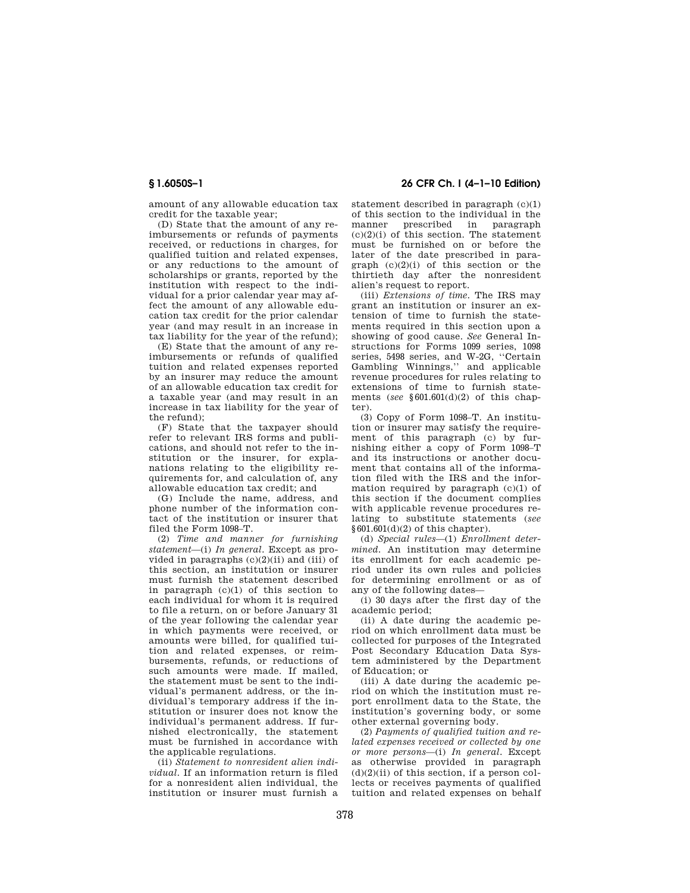**§ 1.6050S–1 26 CFR Ch. I (4–1–10 Edition)** 

amount of any allowable education tax credit for the taxable year;

(D) State that the amount of any reimbursements or refunds of payments received, or reductions in charges, for qualified tuition and related expenses, or any reductions to the amount of scholarships or grants, reported by the institution with respect to the individual for a prior calendar year may affect the amount of any allowable education tax credit for the prior calendar year (and may result in an increase in tax liability for the year of the refund);

(E) State that the amount of any reimbursements or refunds of qualified tuition and related expenses reported by an insurer may reduce the amount of an allowable education tax credit for a taxable year (and may result in an increase in tax liability for the year of the refund);

(F) State that the taxpayer should refer to relevant IRS forms and publications, and should not refer to the institution or the insurer, for explanations relating to the eligibility requirements for, and calculation of, any allowable education tax credit; and

(G) Include the name, address, and phone number of the information contact of the institution or insurer that filed the Form 1098–T.

(2) *Time and manner for furnishing statement*—(i) *In general.* Except as provided in paragraphs (c)(2)(ii) and (iii) of this section, an institution or insurer must furnish the statement described in paragraph  $(c)(1)$  of this section to each individual for whom it is required to file a return, on or before January 31 of the year following the calendar year in which payments were received, or amounts were billed, for qualified tuition and related expenses, or reimbursements, refunds, or reductions of such amounts were made. If mailed the statement must be sent to the individual's permanent address, or the individual's temporary address if the institution or insurer does not know the individual's permanent address. If furnished electronically, the statement must be furnished in accordance with the applicable regulations.

(ii) *Statement to nonresident alien individual.* If an information return is filed for a nonresident alien individual, the institution or insurer must furnish a statement described in paragraph (c)(1) of this section to the individual in the manner prescribed in paragraph  $(c)(2)(i)$  of this section. The statement must be furnished on or before the later of the date prescribed in paragraph  $(c)(2)(i)$  of this section or the thirtieth day after the nonresident alien's request to report.

(iii) *Extensions of time.* The IRS may grant an institution or insurer an extension of time to furnish the statements required in this section upon a showing of good cause. *See* General Instructions for Forms 1099 series, 1098 series, 5498 series, and W-2G, ''Certain Gambling Winnings,'' and applicable revenue procedures for rules relating to extensions of time to furnish statements (*see* §601.601(d)(2) of this chapter).

(3) Copy of Form 1098–T. An institution or insurer may satisfy the requirement of this paragraph (c) by furnishing either a copy of Form 1098–T and its instructions or another document that contains all of the information filed with the IRS and the information required by paragraph  $(c)(1)$  of this section if the document complies with applicable revenue procedures relating to substitute statements (*see*   $§601.601(d)(2)$  of this chapter).

(d) *Special rules*—(1) *Enrollment determined.* An institution may determine its enrollment for each academic period under its own rules and policies for determining enrollment or as of any of the following dates—

(i) 30 days after the first day of the academic period;

(ii) A date during the academic period on which enrollment data must be collected for purposes of the Integrated Post Secondary Education Data System administered by the Department of Education; or

(iii) A date during the academic period on which the institution must report enrollment data to the State, the institution's governing body, or some other external governing body.

(2) *Payments of qualified tuition and related expenses received or collected by one or more persons*—(i) *In general.* Except as otherwise provided in paragraph  $(d)(2)(ii)$  of this section, if a person collects or receives payments of qualified tuition and related expenses on behalf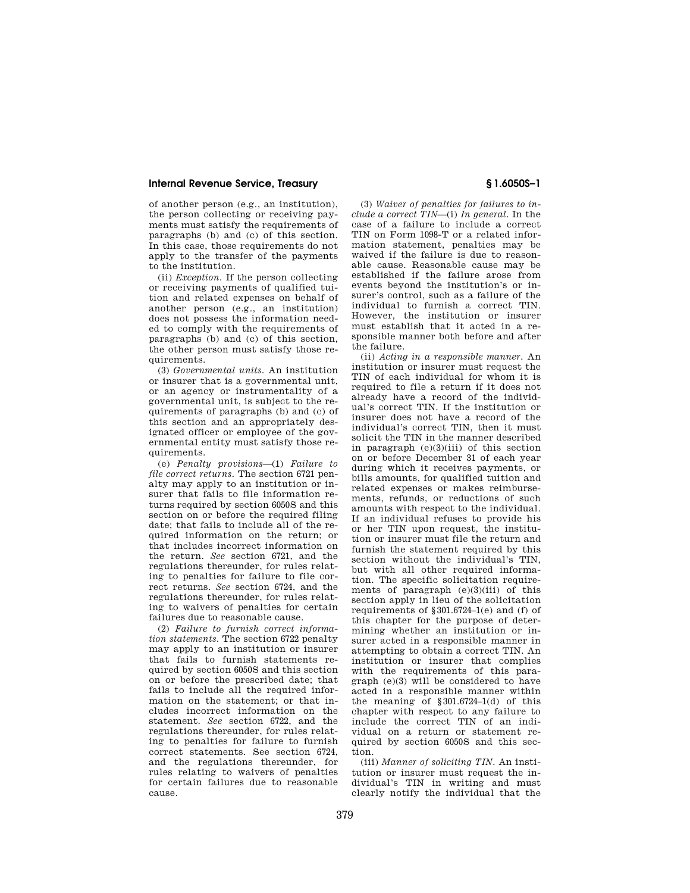of another person (e.g., an institution), the person collecting or receiving payments must satisfy the requirements of paragraphs (b) and (c) of this section. In this case, those requirements do not apply to the transfer of the payments to the institution.

(ii) *Exception.* If the person collecting or receiving payments of qualified tuition and related expenses on behalf of another person (e.g., an institution) does not possess the information needed to comply with the requirements of paragraphs (b) and (c) of this section, the other person must satisfy those requirements.

(3) *Governmental units.* An institution or insurer that is a governmental unit, or an agency or instrumentality of a governmental unit, is subject to the requirements of paragraphs (b) and (c) of this section and an appropriately designated officer or employee of the governmental entity must satisfy those requirements.

(e) *Penalty provisions*—(1) *Failure to file correct returns.* The section 6721 penalty may apply to an institution or insurer that fails to file information returns required by section 6050S and this section on or before the required filing date; that fails to include all of the required information on the return; or that includes incorrect information on the return. *See* section 6721, and the regulations thereunder, for rules relating to penalties for failure to file correct returns. *See* section 6724, and the regulations thereunder, for rules relating to waivers of penalties for certain failures due to reasonable cause.

(2) *Failure to furnish correct information statements.* The section 6722 penalty may apply to an institution or insurer that fails to furnish statements required by section 6050S and this section on or before the prescribed date; that fails to include all the required information on the statement; or that includes incorrect information on the statement. *See* section 6722, and the regulations thereunder, for rules relating to penalties for failure to furnish correct statements. See section 6724, and the regulations thereunder, for rules relating to waivers of penalties for certain failures due to reasonable cause.

(3) *Waiver of penalties for failures to include a correct TIN*—(i) *In general.* In the case of a failure to include a correct TIN on Form 1098-T or a related information statement, penalties may be waived if the failure is due to reasonable cause. Reasonable cause may be established if the failure arose from events beyond the institution's or insurer's control, such as a failure of the individual to furnish a correct TIN. However, the institution or insurer must establish that it acted in a responsible manner both before and after the failure.

(ii) *Acting in a responsible manner.* An institution or insurer must request the TIN of each individual for whom it is required to file a return if it does not already have a record of the individual's correct TIN. If the institution or insurer does not have a record of the individual's correct TIN, then it must solicit the TIN in the manner described in paragraph  $(e)(3)(iii)$  of this section on or before December 31 of each year during which it receives payments, or bills amounts, for qualified tuition and related expenses or makes reimbursements, refunds, or reductions of such amounts with respect to the individual. If an individual refuses to provide his or her TIN upon request, the institution or insurer must file the return and furnish the statement required by this section without the individual's TIN, but with all other required information. The specific solicitation requirements of paragraph  $(e)(3)(iii)$  of this section apply in lieu of the solicitation requirements of §301.6724–1(e) and (f) of this chapter for the purpose of determining whether an institution or insurer acted in a responsible manner in attempting to obtain a correct TIN. An institution or insurer that complies with the requirements of this paragraph (e)(3) will be considered to have acted in a responsible manner within the meaning of §301.6724–1(d) of this chapter with respect to any failure to include the correct TIN of an individual on a return or statement required by section 6050S and this section.

(iii) *Manner of soliciting TIN.* An institution or insurer must request the individual's TIN in writing and must clearly notify the individual that the